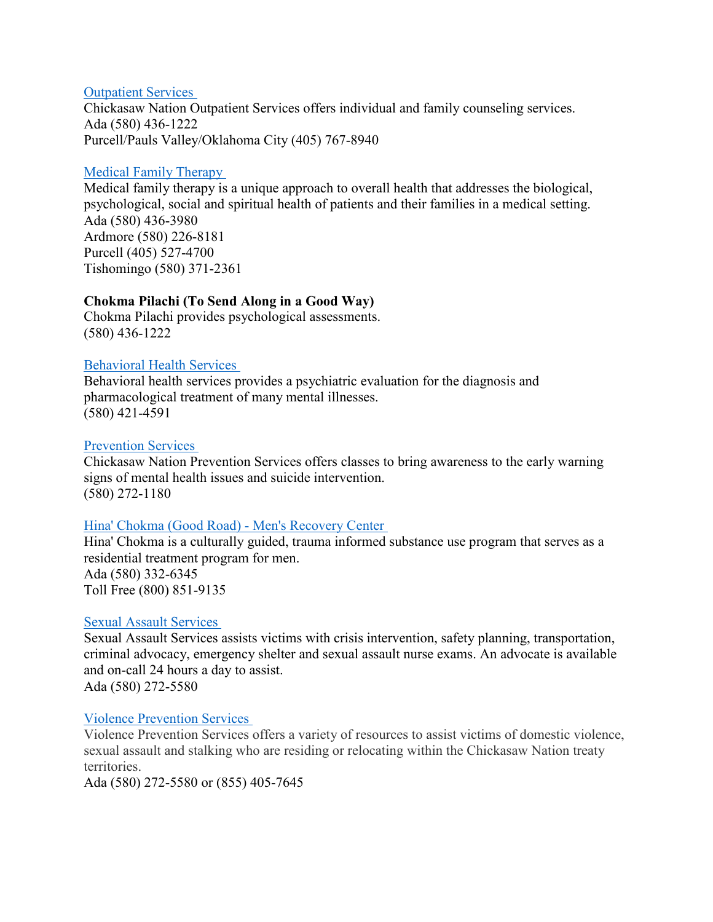### [Outpatient Services](https://chickasaw.net/Services/Health-Wellness/Outpatient-Services.aspx)

Chickasaw Nation Outpatient Services offers individual and family counseling services. Ada (580) 436-1222 Purcell/Pauls Valley/Oklahoma City (405) 767-8940

### [Medical Family Therapy](https://chickasaw.net/Services/Family/Medical-Family-Therapy.aspx)

Medical family therapy is a unique approach to overall health that addresses the biological, psychological, social and spiritual health of patients and their families in a medical setting. Ada (580) 436-3980 Ardmore (580) 226-8181 Purcell (405) 527-4700 Tishomingo (580) 371-2361

# **Chokma Pilachi (To Send Along in a Good Way)**

Chokma Pilachi provides psychological assessments. (580) 436-1222

# [Behavioral Health Services](https://chickasaw.net/Services/Health-Wellness/Behavioral-Health-Services.aspx)

Behavioral health services provides a psychiatric evaluation for the diagnosis and pharmacological treatment of many mental illnesses. (580) 421-4591

# [Prevention Services](https://chickasaw.net/Services/Family/Prevention-Services.aspx)

Chickasaw Nation Prevention Services offers classes to bring awareness to the early warning signs of mental health issues and suicide intervention. (580) 272-1180

# [Hina' Chokma \(Good Road\) - Men's Recovery Center](https://chickasaw.net/Services/Health-Wellness/Hina%EA%9E%8C-Chokma-Good-Road%E2%80%9D.aspx)

Hina' Chokma is a culturally guided, trauma informed substance use program that serves as a residential treatment program for men. Ada (580) 332-6345 Toll Free (800) 851-9135

### [Sexual Assault Services](https://chickasaw.net/Services/Family/Sexual-Assault-Rape-Services.aspx)

Sexual Assault Services assists victims with crisis intervention, safety planning, transportation, criminal advocacy, emergency shelter and sexual assault nurse exams. An advocate is available and on-call 24 hours a day to assist. Ada (580) 272-5580

### [Violence Prevention Services](https://chickasaw.net/Services/Family/Domestic-Violence-Services.aspx)

Violence Prevention Services offers a variety of resources to assist victims of domestic violence, sexual assault and stalking who are residing or relocating within the Chickasaw Nation treaty territories.

Ada (580) 272-5580 or (855) 405-7645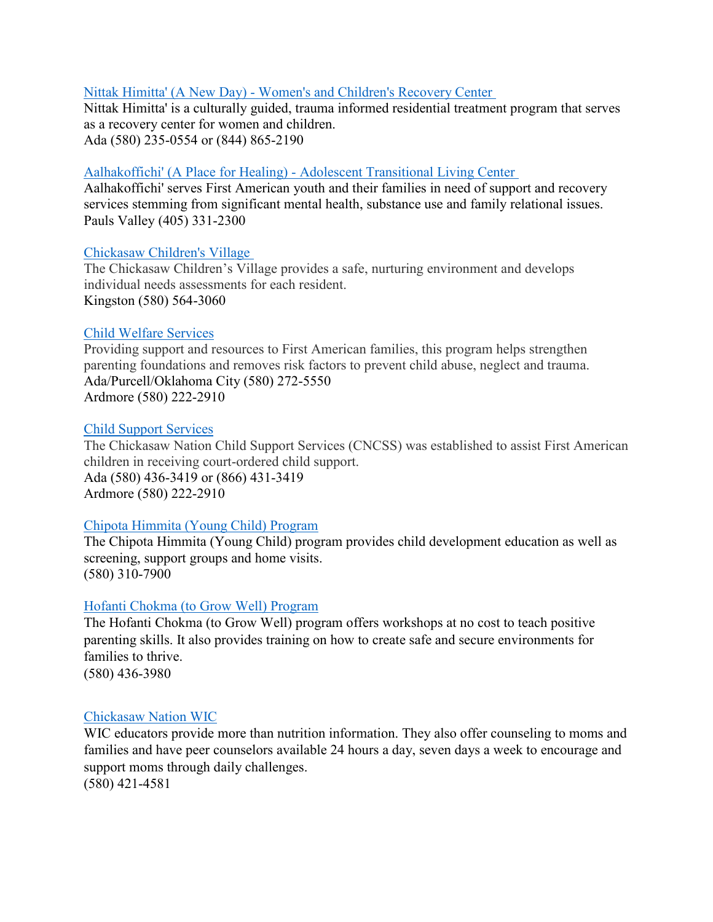### Nittak [Himitta' \(A New Day\) - Women's and Children's Recovery Center](https://chickasaw.net/Services/Health-Wellness/Nittak-Himitta%EA%9E%8C-A-New-Day%E2%80%9D.aspx)

Nittak Himitta' is a culturally guided, trauma informed residential treatment program that serves as a recovery center for women and children. Ada (580) 235-0554 or (844) 865-2190

# [Aalhakoffichi' \(A Place for Healing\) - Adolescent Transitional Living Center](https://chickasaw.net/Services/Children-Youth/Aalhakoffichi-(A-Place-For-Healing).aspx)

Aalhakoffichi' serves First American youth and their families in need of support and recovery services stemming from significant mental health, substance use and family relational issues. Pauls Valley (405) 331-2300

### [Chickasaw Children's Village](https://chickasaw.net/Services/Children-Youth/Chickasaw-Children-s-Village.aspx)

The Chickasaw Children's Village provides a safe, nurturing environment and develops individual needs assessments for each resident. Kingston (580) 564-3060

### [Child Welfare Services](https://chickasaw.net/Services/Family/Child-Welfare-Services.aspx)

Providing support and resources to First American families, this program helps strengthen parenting foundations and removes risk factors to prevent child abuse, neglect and trauma. Ada/Purcell/Oklahoma City (580) 272-5550 Ardmore (580) 222-2910

### [Child Support Services](https://chickasaw.net/Services/Family/Child-Support-Services.aspx)

The Chickasaw Nation Child Support Services (CNCSS) was established to assist First American children in receiving court-ordered child support. Ada (580) 436-3419 or (866) 431-3419 Ardmore (580) 222-2910

### [Chipota Himmita \(Young Child\) Program](https://chickasaw.net/Services/Family/Chipota-Himmita-(Young-Child)-Program.aspx)

The Chipota Himmita (Young Child) program provides child development education as well as screening, support groups and home visits. (580) 310-7900

#### [Hofanti Chokma](https://chickasaw.net/growwell) (to Grow Well) Program

The Hofanti Chokma (to Grow Well) program offers workshops at no cost to teach positive parenting skills. It also provides training on how to create safe and secure environments for families to thrive. (580) 436-3980

#### [Chickasaw Nation WIC](https://chickasaw.net/Services/Health-Wellness/WIC-Supplemental-Nutrition-Program.aspx)

WIC educators provide more than nutrition information. They also offer counseling to moms and families and have peer counselors available 24 hours a day, seven days a week to encourage and support moms through daily challenges. (580) 421-4581